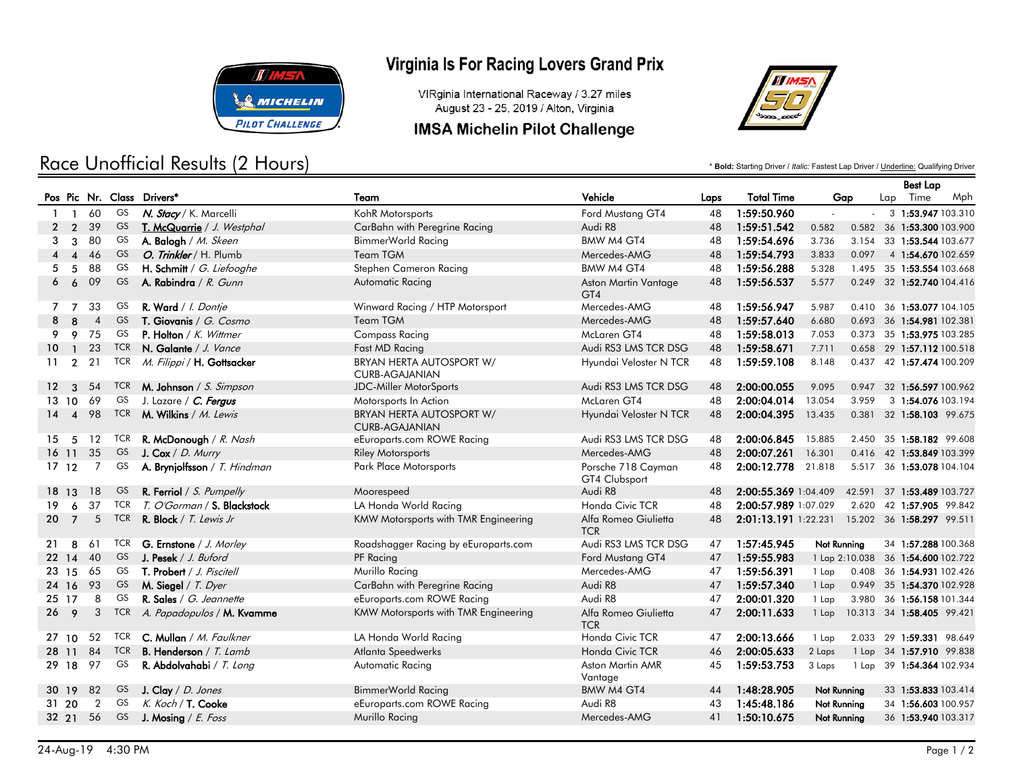

# Race Unofficial Results (2 Hours)

### Virginia Is For Racing Lovers Grand Prix

VIRginia International Raceway / 3.27 miles August 23 - 25, 2019 / Alton, Virginia

#### **IMSA Michelin Pilot Challenge**



\* **Bold:** Starting Driver / *Italic:* Fastest Lap Driver / Underline: Qualifying Driver

|                 |                 |                |     |                                     |                                                   |                                     |      |                      |         |                                    |     | <b>Best Lap</b>            |     |
|-----------------|-----------------|----------------|-----|-------------------------------------|---------------------------------------------------|-------------------------------------|------|----------------------|---------|------------------------------------|-----|----------------------------|-----|
|                 |                 |                |     | Pos Pic Nr. Class Drivers*          | Team                                              | Vehicle                             | Laps | <b>Total Time</b>    | Gap     |                                    | Lap | Time                       | Mph |
|                 | $1 \quad 1$     | 60             | GS  | N. Stacy / K. Marcelli              | KohR Motorsports                                  | Ford Mustang GT4                    | 48   | 1:59:50.960          | $\sim$  | $\mathbf{a} = \mathbf{0}$          |     | 3 1:53.947 103.310         |     |
| $\mathbf{2}$    | $\overline{2}$  | 39             | GS  | T. McQuarrie / J. Westphal          | CarBahn with Peregrine Racing                     | Audi R8                             | 48   | 1:59:51.542          | 0.582   |                                    |     | 0.582 36 1:53.300 103.900  |     |
| 3               | 3               | 80             | GS  | A. Balogh / M. Skeen                | BimmerWorld Racing                                | BMW M4 GT4                          | 48   | 1:59:54.696          | 3.736   |                                    |     | 3.154 33 1:53.544 103.677  |     |
| 4               | $\overline{4}$  | 46             | GS  | O. Trinkler / H. Plumb              | Team TGM                                          | Mercedes-AMG                        | 48   | 1:59:54.793          | 3.833   | 0.097                              |     | 4 1:54.670 102.659         |     |
| 5               | -5              | 88             | GS  | H. Schmitt / G. Liefooghe           | Stephen Cameron Racing                            | BMW M4 GT4                          | 48   | 1:59:56.288          | 5.328   |                                    |     | 1.495 35 1:53.554 103.668  |     |
| 6               | 6               | 09             | GS  | A. Rabindra / R. Gunn               | Automatic Racing                                  | Aston Martin Vantage<br>GT4         | 48   | 1:59:56.537          | 5.577   |                                    |     | 0.249 32 1:52.740 104.416  |     |
| 7               | $\overline{7}$  | 33             | GS  | R. Ward / I. Dontje                 | Winward Racing / HTP Motorsport                   | Mercedes-AMG                        | 48   | 1:59:56.947          | 5.987   |                                    |     | 0.410 36 1:53.077 104.105  |     |
| 8               | 8               | $\overline{4}$ | GS  | T. Giovanis / G. Cosmo              | Team TGM                                          | Mercedes-AMG                        | 48   | 1:59:57.640          | 6.680   |                                    |     | 0.693 36 1:54.981 102.381  |     |
| 9               | 9               | 75             | GS  | <b>P. Holton</b> / K. Wittmer       | <b>Compass Racing</b>                             | McLaren GT4                         | 48   | 1:59:58.013          | 7.053   |                                    |     | 0.373 35 1:53.975 103.285  |     |
| 10              | $\mathbf{1}$    | 23             |     | TCR N. Galante / J. Vance           | Fast MD Racing                                    | Audi RS3 LMS TCR DSG                | 48   | 1:59:58.671          | 7.711   |                                    |     | 0.658 29 1:57.112 100.518  |     |
| 11              | $\overline{2}$  | 21             |     | TCR M. Filippi / H. Gottsacker      | BRYAN HERTA AUTOSPORT W/<br><b>CURB-AGAJANIAN</b> | Hyundai Veloster N TCR              | 48   | 1:59:59.108          | 8.148   |                                    |     | 0.437 42 1:57.474 100.209  |     |
| 12 <sup>7</sup> | $\mathbf{3}$    | 54             |     | TCR <b>M. Johnson</b> / S. Simpson  | <b>JDC-Miller MotorSports</b>                     | Audi RS3 LMS TCR DSG                | 48   | 2:00:00.055          | 9.095   |                                    |     | 0.947 32 1:56.597 100.962  |     |
|                 | 13 10 69        |                |     | GS J. Lazare / C. Fergus            | Motorsports In Action                             | McLaren GT4                         | 48   | 2:00:04.014          | 13.054  | 3.959                              |     | 3 1:54.076 103.194         |     |
|                 | $14 \t 4 \t 98$ |                |     | TCR <b>M. Wilkins</b> / M. Lewis    | BRYAN HERTA AUTOSPORT W/<br><b>CURB-AGAJANIAN</b> | Hyundai Veloster N TCR              | 48   | 2:00:04.395          | 13.435  |                                    |     | 0.381 32 1:58.103 99.675   |     |
| 15              | $5\overline{)}$ | -12            |     | TCR <b>R. McDonough</b> / R. Nash   | eEuroparts.com ROWE Racing                        | Audi RS3 LMS TCR DSG                | 48   | 2:00:06.845          | 15.885  |                                    |     | 2.450 35 1:58.182 99.608   |     |
|                 | 16 11           | 35             | GS  | <b>J. Cox</b> / $D$ . Murry         | <b>Riley Motorsports</b>                          | Mercedes-AMG                        | 48   | 2:00:07.261          | 16.301  |                                    |     | 0.416 42 1:53.849 103.399  |     |
|                 | 17 12           | $\overline{7}$ | GS  | A. Brynjolfsson / T. Hindman        | Park Place Motorsports                            | Porsche 718 Cayman<br>GT4 Clubsport | 48   | 2:00:12.778          | 21.818  |                                    |     | 5.517 36 1:53.078 104.104  |     |
|                 | 18 13           | 18             | GS. | R. Ferriol / S. Pumpelly            | Moorespeed                                        | Audi R8                             | 48   | 2:00:55.369 1:04.409 |         |                                    |     | 42.591 37 1:53.489 103.727 |     |
| 19              | 6               | 37             |     | TCR T. O'Gorman / S. Blackstock     | LA Honda World Racing                             | Honda Civic TCR                     | 48   | 2:00:57.989 1:07.029 |         |                                    |     | 2.620 42 1:57.905 99.842   |     |
|                 | $20 \t 7$       | 5              |     | TCR R. Block / T. Lewis Jr          | KMW Motorsports with TMR Engineering              | Alfa Romeo Giulietta<br><b>TCR</b>  | 48   | 2:01:13.191 1:22.231 |         |                                    |     | 15.202 36 1:58.297 99.511  |     |
| 21              | 8               | -61            |     | TCR <b>G. Ernstone</b> / J. Morley  | Roadshagger Racing by eEuroparts.com              | Audi RS3 LMS TCR DSG                | 47   | 1:57:45.945          |         | Not Running                        |     | 34 1:57.288 100.368        |     |
|                 | 22 14 40        |                | GS  | J. Pesek / J. Buford                | PF Racing                                         | Ford Mustang GT4                    | 47   | 1:59:55.983          |         | 1 Lap 2:10.038 36 1:54.600 102.722 |     |                            |     |
|                 | 23 15 65        |                |     | GS <b>T. Probert</b> / J. Piscitell | Murillo Racing                                    | Mercedes-AMG                        | 47   | 1:59:56.391          | 1 Lap   |                                    |     | 0.408 36 1:54.931 102.426  |     |
|                 | 24 16 93        |                | GS  | M. Siegel / T. Dyer                 | CarBahn with Peregrine Racing                     | Audi R8                             | 47   | 1:59:57.340          | $1$ Lap |                                    |     | 0.949 35 1:54.370 102.928  |     |
|                 | 25 17           | 8              | GS  | R. Sales / G. Jeannette             | eEuroparts.com ROWE Racing                        | Audi R8                             | 47   | 2:00:01.320          | 1 Lap   |                                    |     | 3.980 36 1:56.158 101.344  |     |
| 26              | 9               | 3              |     | TCR A. Papadopulos / M. Kvamme      | KMW Motorsports with TMR Engineering              | Alfa Romeo Giulietta<br><b>TCR</b>  | 47   | 2:00:11.633          | 1 Lap   |                                    |     | 10.313 34 1:58.405 99.421  |     |
|                 | 27 10           | 52             |     | TCR C. Mullan / M. Faulkner         | LA Honda World Racing                             | Honda Civic TCR                     | 47   | 2:00:13.666          | 1 Lap   |                                    |     | 2.033 29 1:59.331 98.649   |     |
|                 | 28 11 84        |                |     | TCR <b>B. Henderson</b> / T. Lamb   | Atlanta Speedwerks                                | Honda Civic TCR                     | 46   | 2:00:05.633          | 2 Laps  |                                    |     | 1 Lap 34 1:57.910 99.838   |     |
|                 | 29 18 97        |                | GS  | R. Abdolvahabi / T. Long            | Automatic Racing                                  | Aston Martin AMR<br>Vantage         | 45   | 1:59:53.753          | 3 Laps  |                                    |     | 1 Lap 39 1:54.364 102.934  |     |
|                 | 30 19           | 82             | GS. | J. Clay $/ D.$ Jones                | BimmerWorld Racing                                | BMW M4 GT4                          | 44   | 1:48:28.905          |         | Not Running                        |     | 33 1:53.833 103.414        |     |
|                 | 31 20           | $\overline{2}$ | GS  | K. Koch / T. Cooke                  | eEuroparts.com ROWE Racing                        | Audi R8                             | 43   | 1:45:48.186          |         | Not Running                        |     | 34 1:56.603 100.957        |     |
|                 | 32 21 56        |                | GS  | J. Mosing $/ E. Foss$               | Murillo Racing                                    | Mercedes-AMG                        |      | 41 1:50:10.675       |         | Not Running                        |     | 36 1:53.940 103.317        |     |
|                 |                 |                |     |                                     |                                                   |                                     |      |                      |         |                                    |     |                            |     |